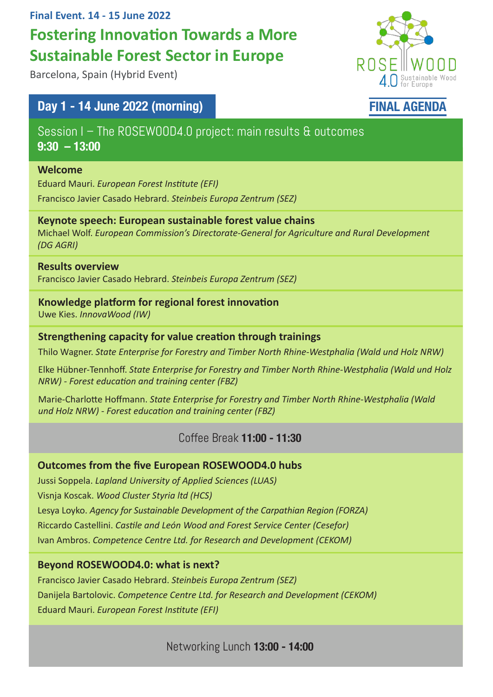#### **Final Event. 14 - 15 June 2022**

# **Fostering Innovation Towards a More Sustainable Forest Sector in Europe**

Barcelona, Spain (Hybrid Event)

## Day 1 - 14 June 2022 (morning)

Session I – The ROSEWOOD4.0 project: main results & outcomes 9:30 – 13:00

#### **Welcome**

Eduard Mauri. *European Forest Institute (EFI)* Francisco Javier Casado Hebrard. *Steinbeis Europa Zentrum (SEZ)*

#### **Keynote speech: European sustainable forest value chains**

Michael Wolf. *European Commission's Directorate-General for Agriculture and Rural Development (DG AGRI)*

#### **Results overview**

Francisco Javier Casado Hebrard. *Steinbeis Europa Zentrum (SEZ)*

#### **Knowledge platform for regional forest innovation**

Uwe Kies. *InnovaWood (IW)* 

#### **Strengthening capacity for value creation through trainings**

Thilo Wagner. *State Enterprise for Forestry and Timber North Rhine-Westphalia (Wald und Holz NRW)*

Elke Hübner-Tennhoff. *State Enterprise for Forestry and Timber North Rhine-Westphalia (Wald und Holz NRW) - Forest education and training center (FBZ)*

Marie-Charlotte Hoffmann. *State Enterprise for Forestry and Timber North Rhine-Westphalia (Wald und Holz NRW) - Forest education and training center (FBZ)*

## Coffee Break 11:00 - 11:30

## **Outcomes from the five European ROSEWOOD4.0 hubs**

Jussi Soppela. *Lapland University of Applied Sciences (LUAS)* Visnja Koscak. *Wood Cluster Styria ltd (HCS)* Lesya Loyko. *Agency for Sustainable Development of the Carpathian Region (FORZA)* Riccardo Castellini. *Castile and León Wood and Forest Service Center (Cesefor)* Ivan Ambros. *Competence Centre Ltd. for Research and Development (CEKOM)*

## **Beyond ROSEWOOD4.0: what is next?**

Francisco Javier Casado Hebrard. *Steinbeis Europa Zentrum (SEZ)* Danijela Bartolovic. *Competence Centre Ltd. for Research and Development (CEKOM)* Eduard Mauri. *European Forest Institute (EFI)* 

Networking Lunch 13:00 - 14:00



## FINAL AGENDA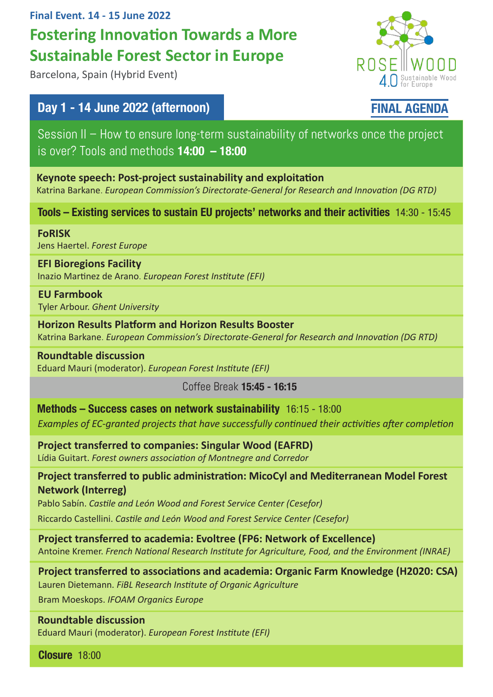## **Final Event. 14 - 15 June 2022 Fostering Innovation Towards a More Sustainable Forest Sector in Europe**

Barcelona, Spain (Hybrid Event)

## Day 1 - 14 June 2022 (afternoon)

Session II – How to ensure long-term sustainability of networks once the project is over? Tools and methods  $14:00 - 18:00$ 

**Keynote speech: Post-project sustainability and exploitation**  Katrina Barkane. *European Commission's Directorate-General for Research and Innovation (DG RTD)*

Tools – Existing services to sustain EU projects' networks and their activities 14:30 - 15:45

**FoRISK**  Jens Haertel. *Forest Europe*

**EFI Bioregions Facility** Inazio Martinez de Arano. *European Forest Institute (EFI)*

**EU Farmbook** Tyler Arbour. *Ghent University*

**Horizon Results Platform and Horizon Results Booster** Katrina Barkane. *European Commission's Directorate-General for Research and Innovation (DG RTD)*

**Roundtable discussion**  Eduard Mauri (moderator). *European Forest Institute (EFI)*

Coffee Break 15:45 - 16:15

Methods – Success cases on network sustainability 16:15 - 18:00

*Examples of EC-granted projects that have successfully continued their activities after completion*

**Project transferred to companies: Singular Wood (EAFRD)** Lídia Guitart. *Forest owners association of Montnegre and Corredor*

**Project transferred to public administration: MicoCyl and Mediterranean Model Forest Network (Interreg)**

Pablo Sabín. *Castile and León Wood and Forest Service Center (Cesefor)*

Riccardo Castellini. *Castile and León Wood and Forest Service Center (Cesefor)*

**Project transferred to academia: Evoltree (FP6: Network of Excellence)** Antoine Kremer. *French National Research Institute for Agriculture, Food, and the Environment (INRAE)*

**Project transferred to associations and academia: Organic Farm Knowledge (H2020: CSA)**

Lauren Dietemann. *FiBL Research Institute of Organic Agriculture*

Bram Moeskops. *IFOAM Organics Europe*

**Roundtable discussion** 

Eduard Mauri (moderator). *European Forest Institute (EFI)*

Closure 18:00



 $4.0$  Sustainable Wood

ROSE